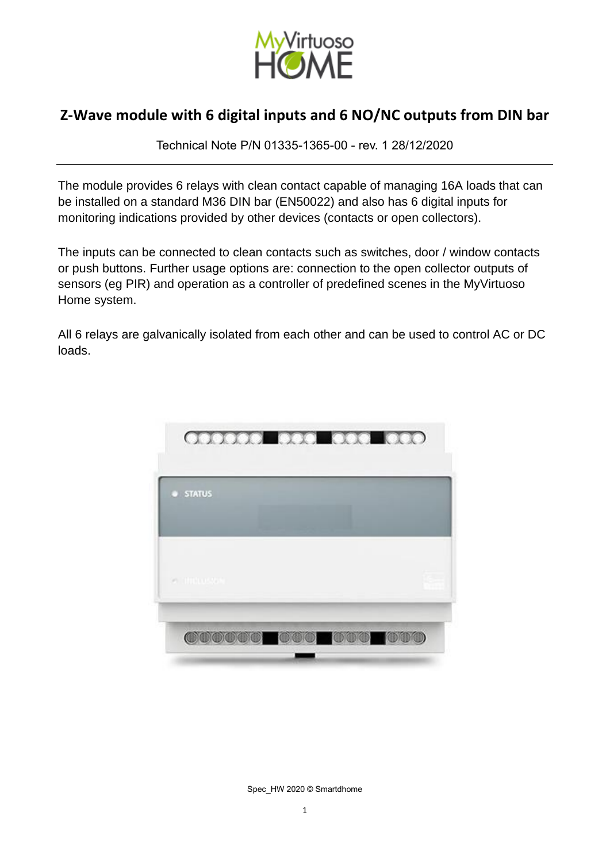

Technical Note P/N 01335-1365-00 - rev. 1 28/12/2020

The module provides 6 relays with clean contact capable of managing 16A loads that can be installed on a standard M36 DIN bar (EN50022) and also has 6 digital inputs for monitoring indications provided by other devices (contacts or open collectors).

The inputs can be connected to clean contacts such as switches, door / window contacts or push buttons. Further usage options are: connection to the open collector outputs of sensors (eg PIR) and operation as a controller of predefined scenes in the MyVirtuoso Home system.

All 6 relays are galvanically isolated from each other and can be used to control AC or DC loads.



Spec\_HW 2020 © Smartdhome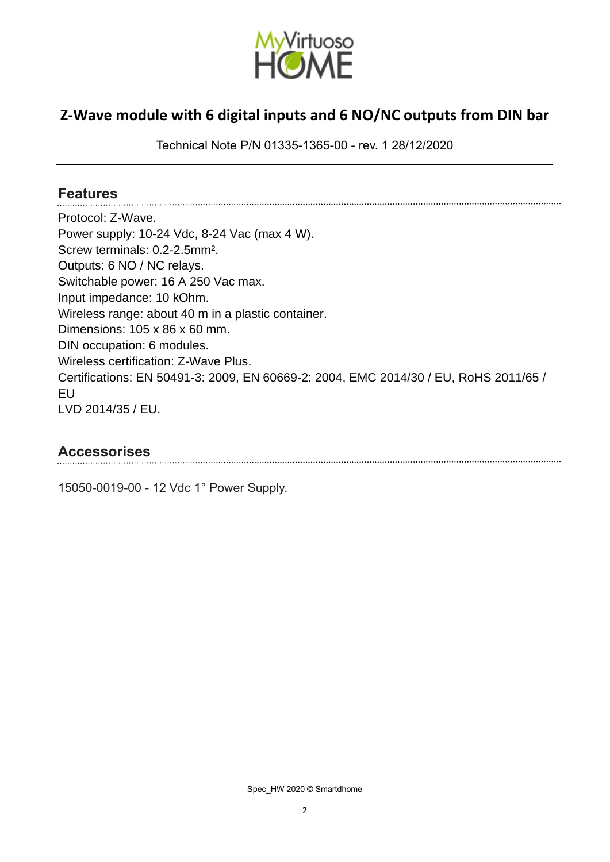

Technical Note P/N 01335-1365-00 - rev. 1 28/12/2020

#### **Features**

Protocol: Z-Wave. Power supply: 10-24 Vdc, 8-24 Vac (max 4 W). Screw terminals: 0.2-2.5mm². Outputs: 6 NO / NC relays. Switchable power: 16 A 250 Vac max. Input impedance: 10 kOhm. Wireless range: about 40 m in a plastic container. Dimensions: 105 x 86 x 60 mm. DIN occupation: 6 modules. Wireless certification: Z-Wave Plus. Certifications: EN 50491-3: 2009, EN 60669-2: 2004, EMC 2014/30 / EU, RoHS 2011/65 / EU LVD 2014/35 / EU.

#### **Accessorises**

15050-0019-00 - 12 Vdc 1° Power Supply.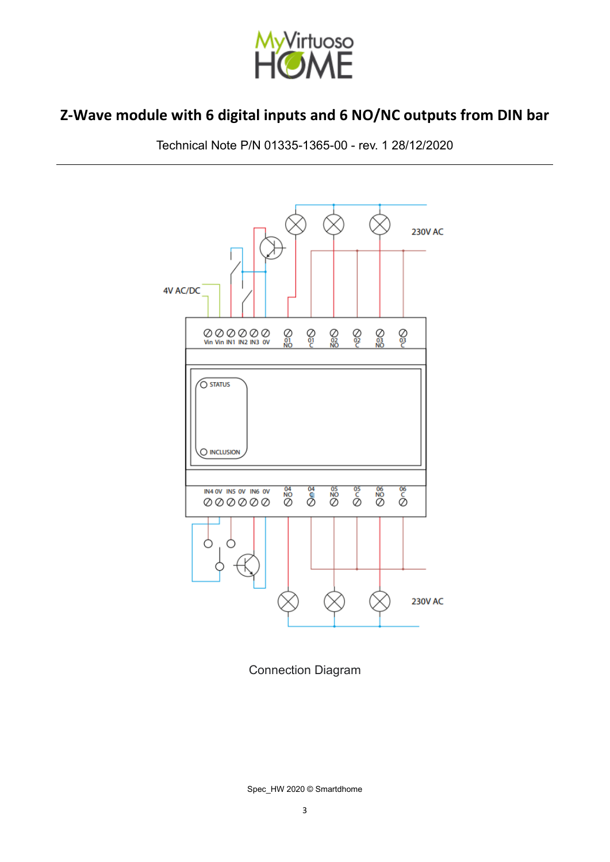

Technical Note P/N 01335-1365-00 - rev. 1 28/12/2020



Connection Diagram

Spec\_HW 2020 © Smartdhome